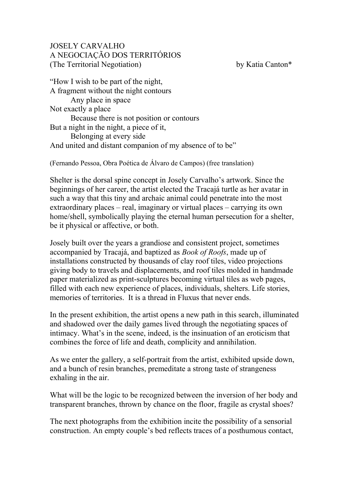## JOSELY CARVALHO A NEGOCIAÇÃO DOS TERRITÓRIOS (The Territorial Negotiation) by Katia Canton\*

"How I wish to be part of the night, A fragment without the night contours Any place in space Not exactly a place Because there is not position or contours But a night in the night, a piece of it, Belonging at every side And united and distant companion of my absence of to be"

(Fernando Pessoa, Obra Poética de Álvaro de Campos) (free translation)

Shelter is the dorsal spine concept in Josely Carvalho's artwork. Since the beginnings of her career, the artist elected the Tracajá turtle as her avatar in such a way that this tiny and archaic animal could penetrate into the most extraordinary places – real, imaginary or virtual places – carrying its own home/shell, symbolically playing the eternal human persecution for a shelter, be it physical or affective, or both.

Josely built over the years a grandiose and consistent project, sometimes accompanied by Tracajá, and baptized as *Book of Roofs*, made up of installations constructed by thousands of clay roof tiles, video projections giving body to travels and displacements, and roof tiles molded in handmade paper materialized as print-sculptures becoming virtual tiles as web pages, filled with each new experience of places, individuals, shelters. Life stories, memories of territories. It is a thread in Fluxus that never ends.

In the present exhibition, the artist opens a new path in this search, illuminated and shadowed over the daily games lived through the negotiating spaces of intimacy. What's in the scene, indeed, is the insinuation of an eroticism that combines the force of life and death, complicity and annihilation.

As we enter the gallery, a self-portrait from the artist, exhibited upside down, and a bunch of resin branches, premeditate a strong taste of strangeness exhaling in the air.

What will be the logic to be recognized between the inversion of her body and transparent branches, thrown by chance on the floor, fragile as crystal shoes?

The next photographs from the exhibition incite the possibility of a sensorial construction. An empty couple's bed reflects traces of a posthumous contact,